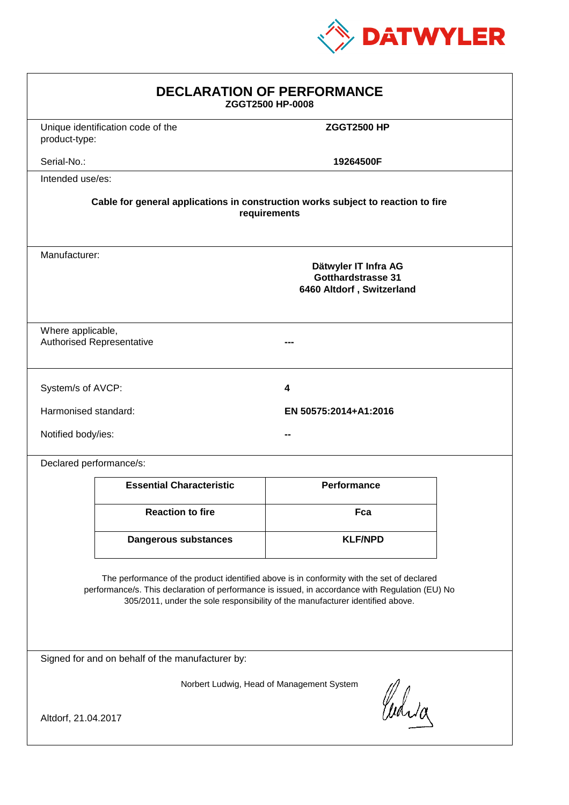

| <b>DECLARATION OF PERFORMANCE</b><br>ZGGT2500 HP-0008                                                                                                                                                                                                                         |                                                                                                 |                    |  |
|-------------------------------------------------------------------------------------------------------------------------------------------------------------------------------------------------------------------------------------------------------------------------------|-------------------------------------------------------------------------------------------------|--------------------|--|
| product-type:                                                                                                                                                                                                                                                                 | Unique identification code of the                                                               | <b>ZGGT2500 HP</b> |  |
| Serial-No.:                                                                                                                                                                                                                                                                   |                                                                                                 | 19264500F          |  |
| Intended use/es:                                                                                                                                                                                                                                                              |                                                                                                 |                    |  |
| Cable for general applications in construction works subject to reaction to fire<br>requirements                                                                                                                                                                              |                                                                                                 |                    |  |
|                                                                                                                                                                                                                                                                               | Manufacturer:<br>Dätwyler IT Infra AG<br><b>Gotthardstrasse 31</b><br>6460 Altdorf, Switzerland |                    |  |
| Where applicable,                                                                                                                                                                                                                                                             | <b>Authorised Representative</b>                                                                |                    |  |
| System/s of AVCP:                                                                                                                                                                                                                                                             |                                                                                                 | 4                  |  |
| Harmonised standard:<br>EN 50575:2014+A1:2016                                                                                                                                                                                                                                 |                                                                                                 |                    |  |
| Notified body/ies:                                                                                                                                                                                                                                                            |                                                                                                 |                    |  |
| Declared performance/s:                                                                                                                                                                                                                                                       |                                                                                                 |                    |  |
|                                                                                                                                                                                                                                                                               | <b>Essential Characteristic</b>                                                                 | Performance        |  |
|                                                                                                                                                                                                                                                                               | <b>Reaction to fire</b>                                                                         | Fca                |  |
|                                                                                                                                                                                                                                                                               | Dangerous substances                                                                            | <b>KLF/NPD</b>     |  |
| The performance of the product identified above is in conformity with the set of declared<br>performance/s. This declaration of performance is issued, in accordance with Regulation (EU) No<br>305/2011, under the sole responsibility of the manufacturer identified above. |                                                                                                 |                    |  |
| Signed for and on behalf of the manufacturer by:                                                                                                                                                                                                                              |                                                                                                 |                    |  |
| Norbert Ludwig, Head of Management System<br>Curia<br>Altdorf, 21.04.2017                                                                                                                                                                                                     |                                                                                                 |                    |  |
|                                                                                                                                                                                                                                                                               |                                                                                                 |                    |  |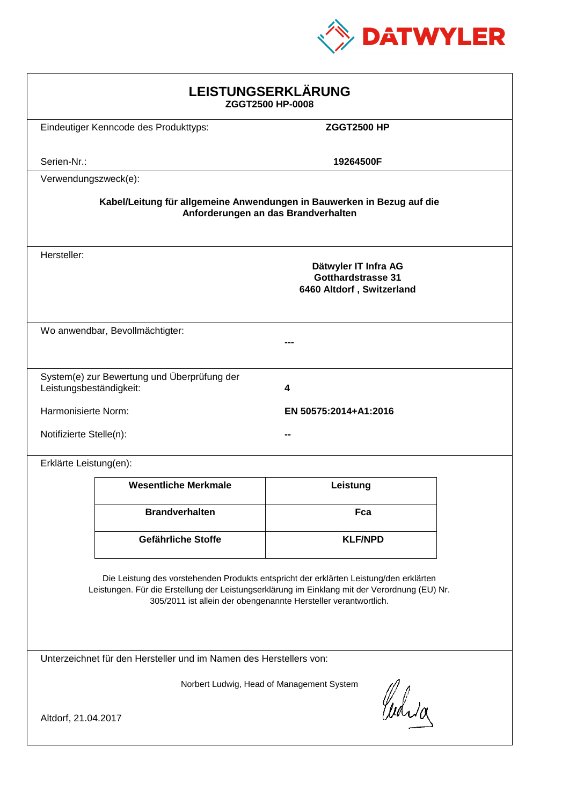

| LEISTUNGSERKLÄRUNG<br>ZGGT2500 HP-0008                                                                                                                                                                                                                     |                                                                             |                       |  |
|------------------------------------------------------------------------------------------------------------------------------------------------------------------------------------------------------------------------------------------------------------|-----------------------------------------------------------------------------|-----------------------|--|
|                                                                                                                                                                                                                                                            | Eindeutiger Kenncode des Produkttyps:                                       | <b>ZGGT2500 HP</b>    |  |
| Serien-Nr.:                                                                                                                                                                                                                                                |                                                                             | 19264500F             |  |
| Verwendungszweck(e):                                                                                                                                                                                                                                       |                                                                             |                       |  |
| Kabel/Leitung für allgemeine Anwendungen in Bauwerken in Bezug auf die<br>Anforderungen an das Brandverhalten                                                                                                                                              |                                                                             |                       |  |
| Hersteller:                                                                                                                                                                                                                                                | Dätwyler IT Infra AG<br>Gotthardstrasse 31<br>6460 Altdorf, Switzerland     |                       |  |
| Wo anwendbar, Bevollmächtigter:                                                                                                                                                                                                                            |                                                                             |                       |  |
|                                                                                                                                                                                                                                                            | System(e) zur Bewertung und Überprüfung der<br>Leistungsbeständigkeit:<br>4 |                       |  |
| Harmonisierte Norm:                                                                                                                                                                                                                                        |                                                                             | EN 50575:2014+A1:2016 |  |
| Notifizierte Stelle(n):                                                                                                                                                                                                                                    |                                                                             |                       |  |
| Erklärte Leistung(en):                                                                                                                                                                                                                                     |                                                                             |                       |  |
|                                                                                                                                                                                                                                                            | <b>Wesentliche Merkmale</b>                                                 | Leistung              |  |
|                                                                                                                                                                                                                                                            | <b>Brandverhalten</b>                                                       | Fca                   |  |
|                                                                                                                                                                                                                                                            | Gefährliche Stoffe                                                          | <b>KLF/NPD</b>        |  |
| Die Leistung des vorstehenden Produkts entspricht der erklärten Leistung/den erklärten<br>Leistungen. Für die Erstellung der Leistungserklärung im Einklang mit der Verordnung (EU) Nr.<br>305/2011 ist allein der obengenannte Hersteller verantwortlich. |                                                                             |                       |  |
| Unterzeichnet für den Hersteller und im Namen des Herstellers von:                                                                                                                                                                                         |                                                                             |                       |  |
| Norbert Ludwig, Head of Management System<br>Waia<br>Altdorf, 21.04.2017                                                                                                                                                                                   |                                                                             |                       |  |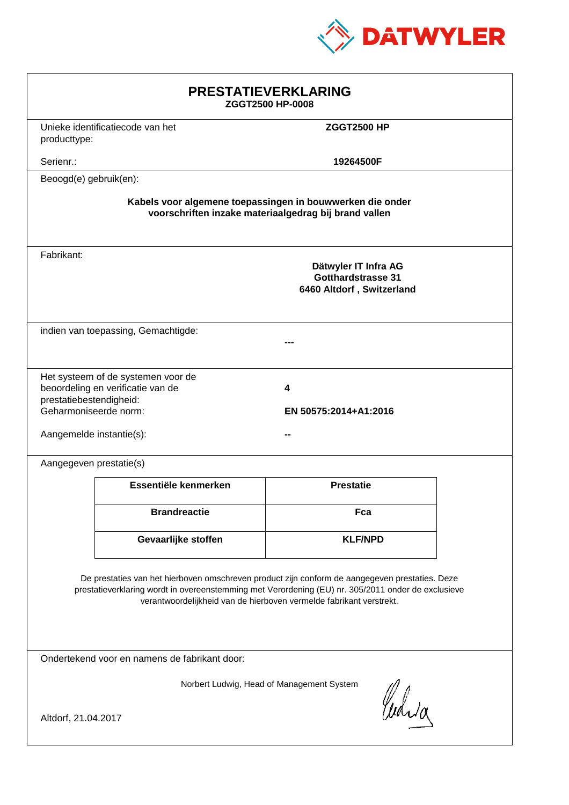

| <b>PRESTATIEVERKLARING</b><br>ZGGT2500 HP-0008                                                                                                                                                                                                                              |                                                                         |                            |  |  |
|-----------------------------------------------------------------------------------------------------------------------------------------------------------------------------------------------------------------------------------------------------------------------------|-------------------------------------------------------------------------|----------------------------|--|--|
| producttype:                                                                                                                                                                                                                                                                | Unieke identificatiecode van het<br><b>ZGGT2500 HP</b>                  |                            |  |  |
| Serienr.:                                                                                                                                                                                                                                                                   |                                                                         | 19264500F                  |  |  |
| Beoogd(e) gebruik(en):                                                                                                                                                                                                                                                      |                                                                         |                            |  |  |
| Kabels voor algemene toepassingen in bouwwerken die onder<br>voorschriften inzake materiaalgedrag bij brand vallen                                                                                                                                                          |                                                                         |                            |  |  |
| Fabrikant:<br>Dätwyler IT Infra AG<br><b>Gotthardstrasse 31</b><br>6460 Altdorf, Switzerland                                                                                                                                                                                |                                                                         |                            |  |  |
| indien van toepassing, Gemachtigde:                                                                                                                                                                                                                                         |                                                                         |                            |  |  |
| prestatiebestendigheid:<br>Geharmoniseerde norm:<br>Aangemelde instantie(s):                                                                                                                                                                                                | Het systeem of de systemen voor de<br>beoordeling en verificatie van de | 4<br>EN 50575:2014+A1:2016 |  |  |
| Aangegeven prestatie(s)                                                                                                                                                                                                                                                     |                                                                         |                            |  |  |
|                                                                                                                                                                                                                                                                             | Essentiële kenmerken                                                    | <b>Prestatie</b>           |  |  |
|                                                                                                                                                                                                                                                                             | <b>Brandreactie</b>                                                     | Fca                        |  |  |
|                                                                                                                                                                                                                                                                             | Gevaarlijke stoffen                                                     | <b>KLF/NPD</b>             |  |  |
| De prestaties van het hierboven omschreven product zijn conform de aangegeven prestaties. Deze<br>prestatieverklaring wordt in overeenstemming met Verordening (EU) nr. 305/2011 onder de exclusieve<br>verantwoordelijkheid van de hierboven vermelde fabrikant verstrekt. |                                                                         |                            |  |  |
| Ondertekend voor en namens de fabrikant door:                                                                                                                                                                                                                               |                                                                         |                            |  |  |
| Norbert Ludwig, Head of Management System<br>Curia<br>Altdorf, 21.04.2017                                                                                                                                                                                                   |                                                                         |                            |  |  |
|                                                                                                                                                                                                                                                                             |                                                                         |                            |  |  |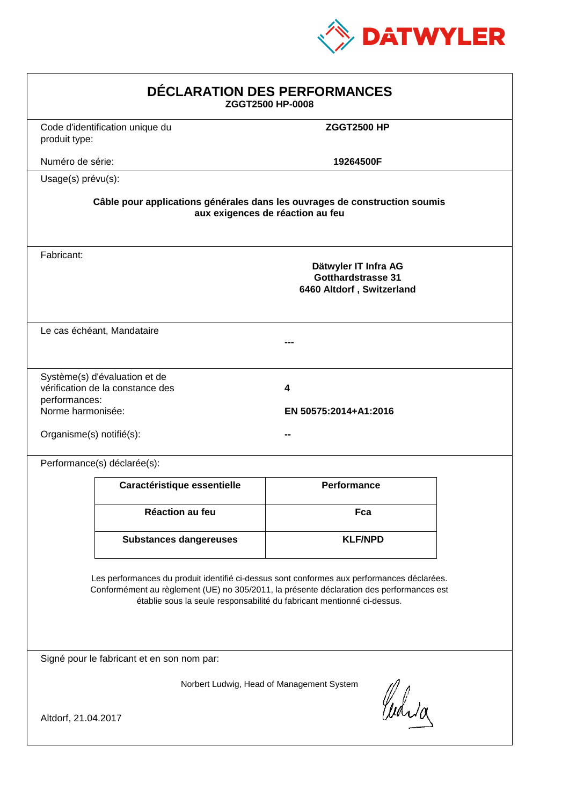

| DÉCLARATION DES PERFORMANCES<br>ZGGT2500 HP-0008                                                                                                                                                                                                                 |                                                                                                                |                                                                                |  |  |
|------------------------------------------------------------------------------------------------------------------------------------------------------------------------------------------------------------------------------------------------------------------|----------------------------------------------------------------------------------------------------------------|--------------------------------------------------------------------------------|--|--|
| produit type:                                                                                                                                                                                                                                                    | Code d'identification unique du                                                                                | <b>ZGGT2500 HP</b>                                                             |  |  |
| Numéro de série:                                                                                                                                                                                                                                                 |                                                                                                                | 19264500F                                                                      |  |  |
| Usage(s) prévu(s):                                                                                                                                                                                                                                               |                                                                                                                |                                                                                |  |  |
|                                                                                                                                                                                                                                                                  | Câble pour applications générales dans les ouvrages de construction soumis<br>aux exigences de réaction au feu |                                                                                |  |  |
| Fabricant:                                                                                                                                                                                                                                                       |                                                                                                                | Dätwyler IT Infra AG<br><b>Gotthardstrasse 31</b><br>6460 Altdorf, Switzerland |  |  |
|                                                                                                                                                                                                                                                                  | Le cas échéant, Mandataire                                                                                     |                                                                                |  |  |
| performances:<br>Norme harmonisée:<br>Organisme(s) notifié(s):                                                                                                                                                                                                   | Système(s) d'évaluation et de<br>vérification de la constance des                                              | 4<br>EN 50575:2014+A1:2016                                                     |  |  |
|                                                                                                                                                                                                                                                                  | Performance(s) déclarée(s):                                                                                    |                                                                                |  |  |
|                                                                                                                                                                                                                                                                  | Caractéristique essentielle                                                                                    | <b>Performance</b>                                                             |  |  |
|                                                                                                                                                                                                                                                                  | Réaction au feu                                                                                                | Fca                                                                            |  |  |
|                                                                                                                                                                                                                                                                  | <b>Substances dangereuses</b>                                                                                  | <b>KLF/NPD</b>                                                                 |  |  |
| Les performances du produit identifié ci-dessus sont conformes aux performances déclarées.<br>Conformément au règlement (UE) no 305/2011, la présente déclaration des performances est<br>établie sous la seule responsabilité du fabricant mentionné ci-dessus. |                                                                                                                |                                                                                |  |  |
| Signé pour le fabricant et en son nom par:                                                                                                                                                                                                                       |                                                                                                                |                                                                                |  |  |
| Norbert Ludwig, Head of Management System<br>Curia<br>Altdorf, 21.04.2017                                                                                                                                                                                        |                                                                                                                |                                                                                |  |  |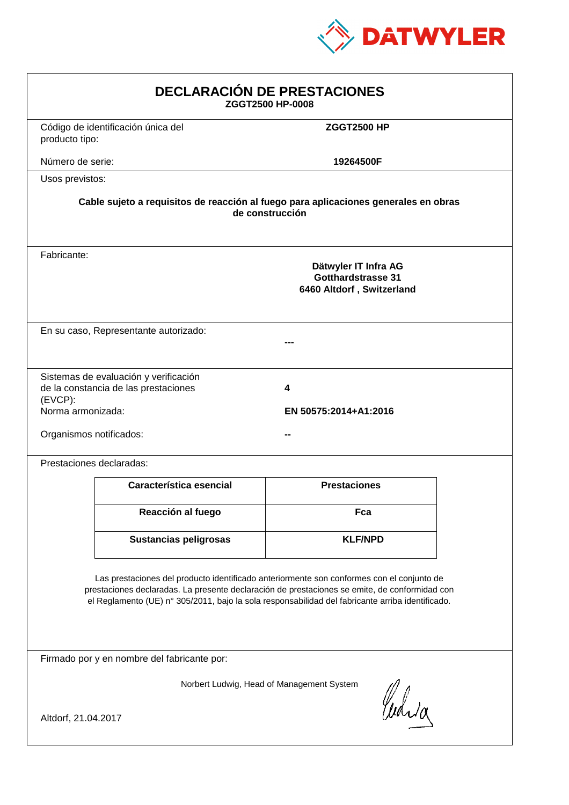

| <b>DECLARACIÓN DE PRESTACIONES</b><br>ZGGT2500 HP-0008                                                                                                                                                                                                                                         |                                                                                |                            |  |  |
|------------------------------------------------------------------------------------------------------------------------------------------------------------------------------------------------------------------------------------------------------------------------------------------------|--------------------------------------------------------------------------------|----------------------------|--|--|
| producto tipo:                                                                                                                                                                                                                                                                                 | Código de identificación única del                                             | <b>ZGGT2500 HP</b>         |  |  |
| Número de serie:                                                                                                                                                                                                                                                                               |                                                                                | 19264500F                  |  |  |
| Usos previstos:                                                                                                                                                                                                                                                                                |                                                                                |                            |  |  |
| Cable sujeto a requisitos de reacción al fuego para aplicaciones generales en obras<br>de construcción                                                                                                                                                                                         |                                                                                |                            |  |  |
| Fabricante:                                                                                                                                                                                                                                                                                    | Dätwyler IT Infra AG<br><b>Gotthardstrasse 31</b><br>6460 Altdorf, Switzerland |                            |  |  |
|                                                                                                                                                                                                                                                                                                | En su caso, Representante autorizado:                                          |                            |  |  |
| (EVCP):<br>Norma armonizada:<br>Organismos notificados:                                                                                                                                                                                                                                        | Sistemas de evaluación y verificación<br>de la constancia de las prestaciones  | 4<br>EN 50575:2014+A1:2016 |  |  |
|                                                                                                                                                                                                                                                                                                | Prestaciones declaradas:                                                       |                            |  |  |
|                                                                                                                                                                                                                                                                                                | Característica esencial                                                        | <b>Prestaciones</b>        |  |  |
|                                                                                                                                                                                                                                                                                                | Reacción al fuego                                                              | Fca                        |  |  |
|                                                                                                                                                                                                                                                                                                | <b>Sustancias peligrosas</b>                                                   | <b>KLF/NPD</b>             |  |  |
| Las prestaciones del producto identificado anteriormente son conformes con el conjunto de<br>prestaciones declaradas. La presente declaración de prestaciones se emite, de conformidad con<br>el Reglamento (UE) nº 305/2011, bajo la sola responsabilidad del fabricante arriba identificado. |                                                                                |                            |  |  |
| Firmado por y en nombre del fabricante por:                                                                                                                                                                                                                                                    |                                                                                |                            |  |  |
| Norbert Ludwig, Head of Management System<br>Curia<br>Altdorf, 21.04.2017                                                                                                                                                                                                                      |                                                                                |                            |  |  |